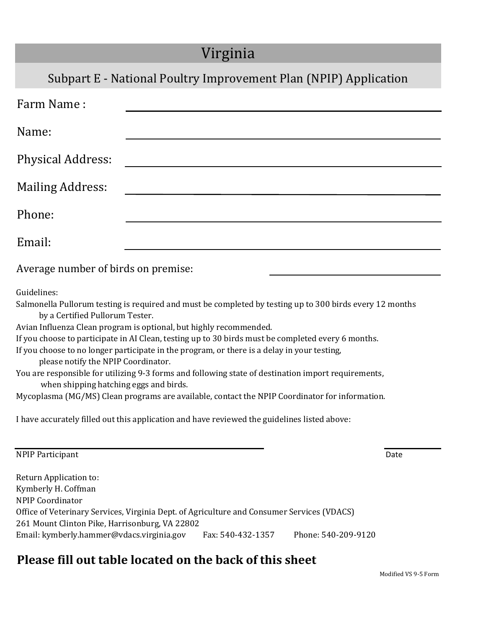## Virginia

## Subpart E - National Poultry Improvement Plan (NPIP) Application

| Farm Name:                          |  |  |  |  |
|-------------------------------------|--|--|--|--|
| Name:                               |  |  |  |  |
| Physical Address:                   |  |  |  |  |
| <b>Mailing Address:</b>             |  |  |  |  |
| Phone:                              |  |  |  |  |
| Email:                              |  |  |  |  |
| Average number of birds on premise: |  |  |  |  |

Guidelines:

Salmonella Pullorum testing is required and must be completed by testing up to 300 birds every 12 months by a Certified Pullorum Tester.

Avian Influenza Clean program is optional, but highly recommended.

If you choose to participate in AI Clean, testing up to 30 birds must be completed every 6 months.

If you choose to no longer participate in the program, or there is a delay in your testing,

please notify the NPIP Coordinator.

You are responsible for utilizing 9-3 forms and following state of destination import requirements, when shipping hatching eggs and birds.

Mycoplasma (MG/MS) Clean programs are available, contact the NPIP Coordinator for information.

I have accurately filled out this application and have reviewed the guidelines listed above:

| <b>NPIP Participant</b> | Date |
|-------------------------|------|
|-------------------------|------|

Return Application to: Kymberly H. Coffman NPIP Coordinator Office of Veterinary Services, Virginia Dept. of Agriculture and Consumer Services (VDACS) 261 Mount Clinton Pike, Harrisonburg, VA 22802 Email: kymberly.hammer@vdacs.virginia.gov Fax: 540-432-1357 Phone: 540-209-9120

## **Please fill out table located on the back of this sheet**